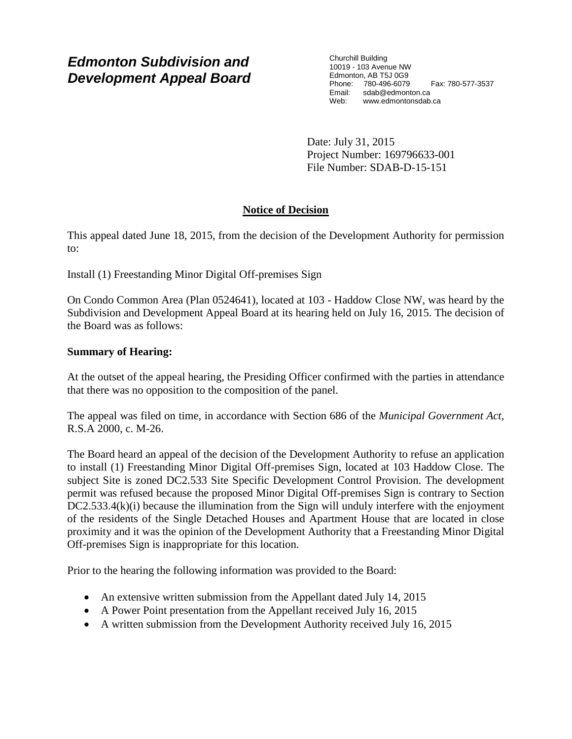# *Edmonton Subdivision and Development Appeal Board*

Churchill Building 10019 - 103 Avenue NW Edmonton, AB T5J 0G9 Phone: 780-496-6079 Fax: 780-577-3537 Email: sdab@edmonton.ca Web: www.edmontonsdab.ca

Date: July 31, 2015 Project Number: 169796633-001 File Number: SDAB-D-15-151

# **Notice of Decision**

This appeal dated June 18, 2015, from the decision of the Development Authority for permission to:

Install (1) Freestanding Minor Digital Off-premises Sign

On Condo Common Area (Plan 0524641), located at 103 - Haddow Close NW, was heard by the Subdivision and Development Appeal Board at its hearing held on July 16, 2015. The decision of the Board was as follows:

# **Summary of Hearing:**

At the outset of the appeal hearing, the Presiding Officer confirmed with the parties in attendance that there was no opposition to the composition of the panel.

The appeal was filed on time, in accordance with Section 686 of the *Municipal Government Act*, R.S.A 2000, c. M-26.

The Board heard an appeal of the decision of the Development Authority to refuse an application to install (1) Freestanding Minor Digital Off-premises Sign, located at 103 Haddow Close. The subject Site is zoned DC2.533 Site Specific Development Control Provision. The development permit was refused because the proposed Minor Digital Off-premises Sign is contrary to Section DC2.533.4(k)(i) because the illumination from the Sign will unduly interfere with the enjoyment of the residents of the Single Detached Houses and Apartment House that are located in close proximity and it was the opinion of the Development Authority that a Freestanding Minor Digital Off-premises Sign is inappropriate for this location.

Prior to the hearing the following information was provided to the Board:

- An extensive written submission from the Appellant dated July 14, 2015
- A Power Point presentation from the Appellant received July 16, 2015
- A written submission from the Development Authority received July 16, 2015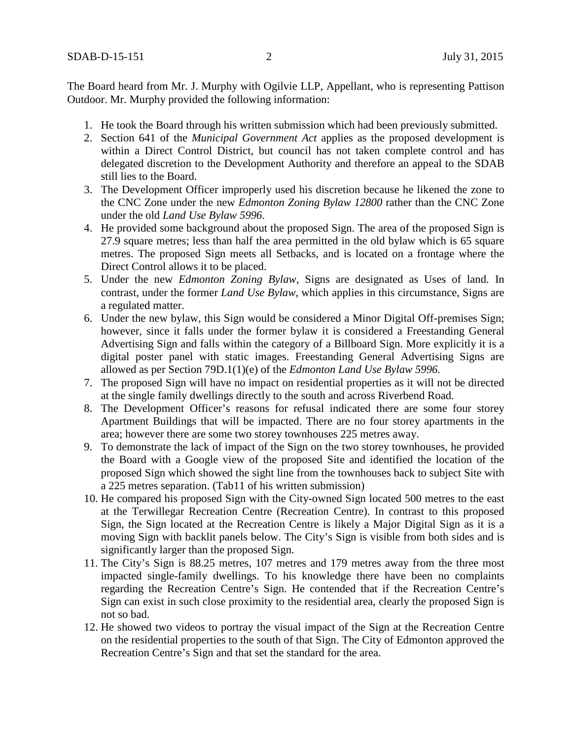The Board heard from Mr. J. Murphy with Ogilvie LLP, Appellant, who is representing Pattison Outdoor. Mr. Murphy provided the following information:

- 1. He took the Board through his written submission which had been previously submitted.
- 2. Section 641 of the *Municipal Government Act* applies as the proposed development is within a Direct Control District, but council has not taken complete control and has delegated discretion to the Development Authority and therefore an appeal to the SDAB still lies to the Board.
- 3. The Development Officer improperly used his discretion because he likened the zone to the CNC Zone under the new *Edmonton Zoning Bylaw 12800* rather than the CNC Zone under the old *Land Use Bylaw 5996*.
- 4. He provided some background about the proposed Sign. The area of the proposed Sign is 27.9 square metres; less than half the area permitted in the old bylaw which is 65 square metres. The proposed Sign meets all Setbacks, and is located on a frontage where the Direct Control allows it to be placed.
- 5. Under the new *Edmonton Zoning Bylaw,* Signs are designated as Uses of land. In contrast, under the former *Land Use Bylaw*, which applies in this circumstance, Signs are a regulated matter.
- 6. Under the new bylaw, this Sign would be considered a Minor Digital Off-premises Sign; however, since it falls under the former bylaw it is considered a Freestanding General Advertising Sign and falls within the category of a Billboard Sign. More explicitly it is a digital poster panel with static images. Freestanding General Advertising Signs are allowed as per Section 79D.1(1)(e) of the *Edmonton Land Use Bylaw 5996.*
- 7. The proposed Sign will have no impact on residential properties as it will not be directed at the single family dwellings directly to the south and across Riverbend Road.
- 8. The Development Officer's reasons for refusal indicated there are some four storey Apartment Buildings that will be impacted. There are no four storey apartments in the area; however there are some two storey townhouses 225 metres away.
- 9. To demonstrate the lack of impact of the Sign on the two storey townhouses, he provided the Board with a Google view of the proposed Site and identified the location of the proposed Sign which showed the sight line from the townhouses back to subject Site with a 225 metres separation. (Tab11 of his written submission)
- 10. He compared his proposed Sign with the City-owned Sign located 500 metres to the east at the Terwillegar Recreation Centre (Recreation Centre). In contrast to this proposed Sign, the Sign located at the Recreation Centre is likely a Major Digital Sign as it is a moving Sign with backlit panels below. The City's Sign is visible from both sides and is significantly larger than the proposed Sign.
- 11. The City's Sign is 88.25 metres, 107 metres and 179 metres away from the three most impacted single-family dwellings. To his knowledge there have been no complaints regarding the Recreation Centre's Sign. He contended that if the Recreation Centre's Sign can exist in such close proximity to the residential area, clearly the proposed Sign is not so bad.
- 12. He showed two videos to portray the visual impact of the Sign at the Recreation Centre on the residential properties to the south of that Sign. The City of Edmonton approved the Recreation Centre's Sign and that set the standard for the area.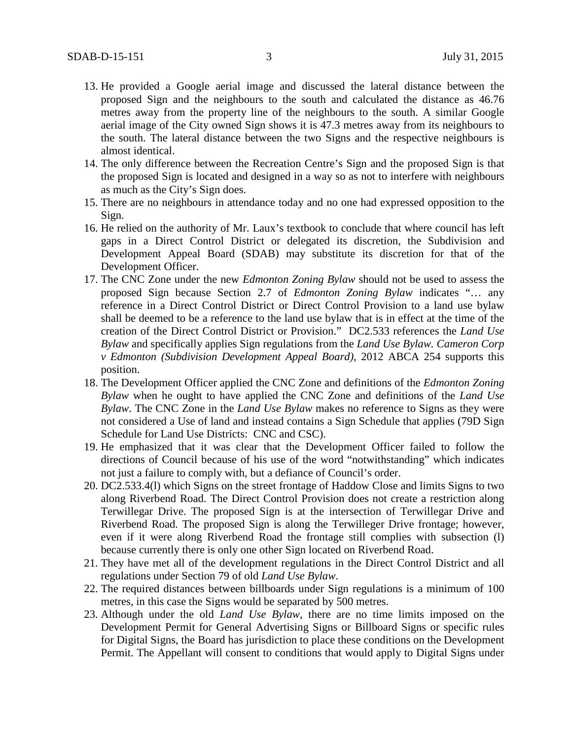- 13. He provided a Google aerial image and discussed the lateral distance between the proposed Sign and the neighbours to the south and calculated the distance as 46.76 metres away from the property line of the neighbours to the south. A similar Google aerial image of the City owned Sign shows it is 47.3 metres away from its neighbours to the south. The lateral distance between the two Signs and the respective neighbours is almost identical.
- 14. The only difference between the Recreation Centre's Sign and the proposed Sign is that the proposed Sign is located and designed in a way so as not to interfere with neighbours as much as the City's Sign does.
- 15. There are no neighbours in attendance today and no one had expressed opposition to the Sign.
- 16. He relied on the authority of Mr. Laux's textbook to conclude that where council has left gaps in a Direct Control District or delegated its discretion, the Subdivision and Development Appeal Board (SDAB) may substitute its discretion for that of the Development Officer.
- 17. The CNC Zone under the new *Edmonton Zoning Bylaw* should not be used to assess the proposed Sign because Section 2.7 of *Edmonton Zoning Bylaw* indicates "… any reference in a Direct Control District or Direct Control Provision to a land use bylaw shall be deemed to be a reference to the land use bylaw that is in effect at the time of the creation of the Direct Control District or Provision." DC2.533 references the *Land Use Bylaw* and specifically applies Sign regulations from the *Land Use Bylaw. Cameron Corp v Edmonton (Subdivision Development Appeal Board),* 2012 ABCA 254 supports this position.
- 18. The Development Officer applied the CNC Zone and definitions of the *Edmonton Zoning Bylaw* when he ought to have applied the CNC Zone and definitions of the *Land Use Bylaw*. The CNC Zone in the *Land Use Bylaw* makes no reference to Signs as they were not considered a Use of land and instead contains a Sign Schedule that applies (79D Sign Schedule for Land Use Districts: CNC and CSC).
- 19. He emphasized that it was clear that the Development Officer failed to follow the directions of Council because of his use of the word "notwithstanding" which indicates not just a failure to comply with, but a defiance of Council's order.
- 20. DC2.533.4(l) which Signs on the street frontage of Haddow Close and limits Signs to two along Riverbend Road. The Direct Control Provision does not create a restriction along Terwillegar Drive. The proposed Sign is at the intersection of Terwillegar Drive and Riverbend Road. The proposed Sign is along the Terwilleger Drive frontage; however, even if it were along Riverbend Road the frontage still complies with subsection (l) because currently there is only one other Sign located on Riverbend Road.
- 21. They have met all of the development regulations in the Direct Control District and all regulations under Section 79 of old *Land Use Bylaw*.
- 22. The required distances between billboards under Sign regulations is a minimum of 100 metres, in this case the Signs would be separated by 500 metres.
- 23. Although under the old *Land Use Bylaw*, there are no time limits imposed on the Development Permit for General Advertising Signs or Billboard Signs or specific rules for Digital Signs, the Board has jurisdiction to place these conditions on the Development Permit. The Appellant will consent to conditions that would apply to Digital Signs under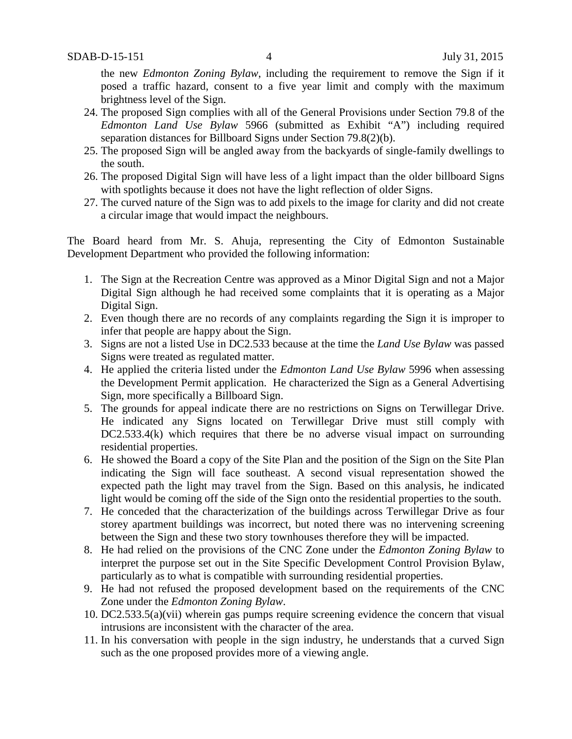the new *Edmonton Zoning Bylaw*, including the requirement to remove the Sign if it posed a traffic hazard, consent to a five year limit and comply with the maximum brightness level of the Sign.

- 24. The proposed Sign complies with all of the General Provisions under Section 79.8 of the *Edmonton Land Use Bylaw* 5966 (submitted as Exhibit "A") including required separation distances for Billboard Signs under Section 79.8(2)(b).
- 25. The proposed Sign will be angled away from the backyards of single-family dwellings to the south.
- 26. The proposed Digital Sign will have less of a light impact than the older billboard Signs with spotlights because it does not have the light reflection of older Signs.
- 27. The curved nature of the Sign was to add pixels to the image for clarity and did not create a circular image that would impact the neighbours.

The Board heard from Mr. S. Ahuja, representing the City of Edmonton Sustainable Development Department who provided the following information:

- 1. The Sign at the Recreation Centre was approved as a Minor Digital Sign and not a Major Digital Sign although he had received some complaints that it is operating as a Major Digital Sign.
- 2. Even though there are no records of any complaints regarding the Sign it is improper to infer that people are happy about the Sign.
- 3. Signs are not a listed Use in DC2.533 because at the time the *Land Use Bylaw* was passed Signs were treated as regulated matter.
- 4. He applied the criteria listed under the *Edmonton Land Use Bylaw* 5996 when assessing the Development Permit application. He characterized the Sign as a General Advertising Sign, more specifically a Billboard Sign.
- 5. The grounds for appeal indicate there are no restrictions on Signs on Terwillegar Drive. He indicated any Signs located on Terwillegar Drive must still comply with DC2.533.4(k) which requires that there be no adverse visual impact on surrounding residential properties.
- 6. He showed the Board a copy of the Site Plan and the position of the Sign on the Site Plan indicating the Sign will face southeast. A second visual representation showed the expected path the light may travel from the Sign. Based on this analysis, he indicated light would be coming off the side of the Sign onto the residential properties to the south.
- 7. He conceded that the characterization of the buildings across Terwillegar Drive as four storey apartment buildings was incorrect, but noted there was no intervening screening between the Sign and these two story townhouses therefore they will be impacted.
- 8. He had relied on the provisions of the CNC Zone under the *Edmonton Zoning Bylaw* to interpret the purpose set out in the Site Specific Development Control Provision Bylaw, particularly as to what is compatible with surrounding residential properties.
- 9. He had not refused the proposed development based on the requirements of the CNC Zone under the *Edmonton Zoning Bylaw*.
- 10. DC2.533.5(a)(vii) wherein gas pumps require screening evidence the concern that visual intrusions are inconsistent with the character of the area.
- 11. In his conversation with people in the sign industry, he understands that a curved Sign such as the one proposed provides more of a viewing angle.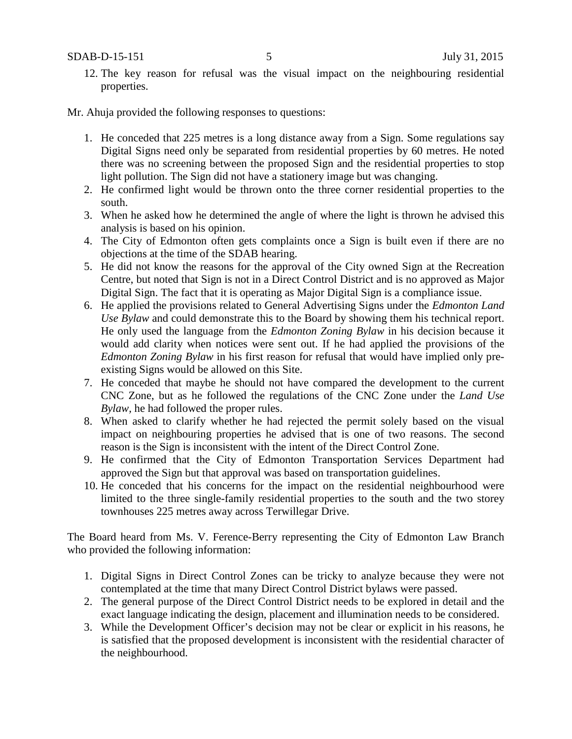SDAB-D-15-151 5 July 31, 2015

12. The key reason for refusal was the visual impact on the neighbouring residential properties.

### Mr. Ahuja provided the following responses to questions:

- 1. He conceded that 225 metres is a long distance away from a Sign. Some regulations say Digital Signs need only be separated from residential properties by 60 metres. He noted there was no screening between the proposed Sign and the residential properties to stop light pollution. The Sign did not have a stationery image but was changing.
- 2. He confirmed light would be thrown onto the three corner residential properties to the south.
- 3. When he asked how he determined the angle of where the light is thrown he advised this analysis is based on his opinion.
- 4. The City of Edmonton often gets complaints once a Sign is built even if there are no objections at the time of the SDAB hearing.
- 5. He did not know the reasons for the approval of the City owned Sign at the Recreation Centre, but noted that Sign is not in a Direct Control District and is no approved as Major Digital Sign. The fact that it is operating as Major Digital Sign is a compliance issue.
- 6. He applied the provisions related to General Advertising Signs under the *Edmonton Land Use Bylaw* and could demonstrate this to the Board by showing them his technical report. He only used the language from the *Edmonton Zoning Bylaw* in his decision because it would add clarity when notices were sent out. If he had applied the provisions of the *Edmonton Zoning Bylaw* in his first reason for refusal that would have implied only preexisting Signs would be allowed on this Site.
- 7. He conceded that maybe he should not have compared the development to the current CNC Zone, but as he followed the regulations of the CNC Zone under the *Land Use Bylaw,* he had followed the proper rules.
- 8. When asked to clarify whether he had rejected the permit solely based on the visual impact on neighbouring properties he advised that is one of two reasons. The second reason is the Sign is inconsistent with the intent of the Direct Control Zone.
- 9. He confirmed that the City of Edmonton Transportation Services Department had approved the Sign but that approval was based on transportation guidelines.
- 10. He conceded that his concerns for the impact on the residential neighbourhood were limited to the three single-family residential properties to the south and the two storey townhouses 225 metres away across Terwillegar Drive.

The Board heard from Ms. V. Ference-Berry representing the City of Edmonton Law Branch who provided the following information:

- 1. Digital Signs in Direct Control Zones can be tricky to analyze because they were not contemplated at the time that many Direct Control District bylaws were passed.
- 2. The general purpose of the Direct Control District needs to be explored in detail and the exact language indicating the design, placement and illumination needs to be considered.
- 3. While the Development Officer's decision may not be clear or explicit in his reasons, he is satisfied that the proposed development is inconsistent with the residential character of the neighbourhood.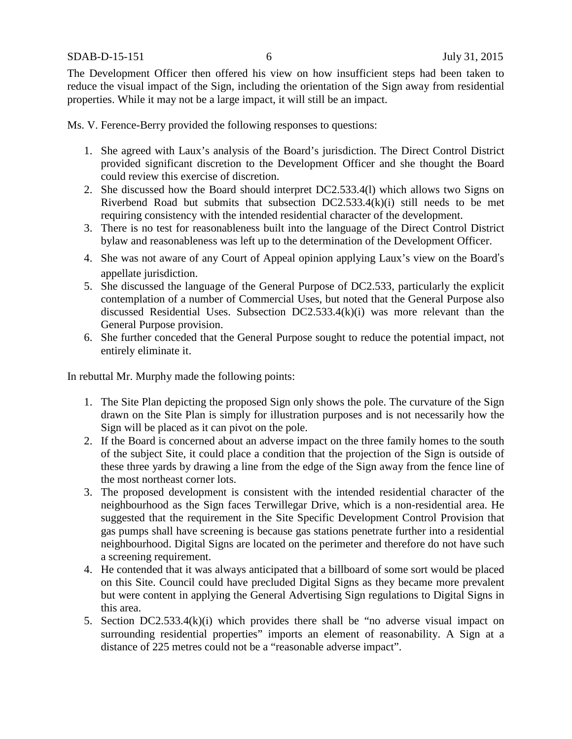SDAB-D-15-151 6 July 31, 2015

The Development Officer then offered his view on how insufficient steps had been taken to reduce the visual impact of the Sign, including the orientation of the Sign away from residential properties. While it may not be a large impact, it will still be an impact.

Ms. V. Ference-Berry provided the following responses to questions:

- 1. She agreed with Laux's analysis of the Board's jurisdiction. The Direct Control District provided significant discretion to the Development Officer and she thought the Board could review this exercise of discretion.
- 2. She discussed how the Board should interpret DC2.533.4(l) which allows two Signs on Riverbend Road but submits that subsection DC2.533.4(k)(i) still needs to be met requiring consistency with the intended residential character of the development.
- 3. There is no test for reasonableness built into the language of the Direct Control District bylaw and reasonableness was left up to the determination of the Development Officer.
- 4. She was not aware of any Court of Appeal opinion applying Laux's view on the Board's appellate jurisdiction.
- 5. She discussed the language of the General Purpose of DC2.533, particularly the explicit contemplation of a number of Commercial Uses, but noted that the General Purpose also discussed Residential Uses. Subsection DC2.533.4(k)(i) was more relevant than the General Purpose provision.
- 6. She further conceded that the General Purpose sought to reduce the potential impact, not entirely eliminate it.

In rebuttal Mr. Murphy made the following points:

- 1. The Site Plan depicting the proposed Sign only shows the pole. The curvature of the Sign drawn on the Site Plan is simply for illustration purposes and is not necessarily how the Sign will be placed as it can pivot on the pole.
- 2. If the Board is concerned about an adverse impact on the three family homes to the south of the subject Site, it could place a condition that the projection of the Sign is outside of these three yards by drawing a line from the edge of the Sign away from the fence line of the most northeast corner lots.
- 3. The proposed development is consistent with the intended residential character of the neighbourhood as the Sign faces Terwillegar Drive, which is a non-residential area. He suggested that the requirement in the Site Specific Development Control Provision that gas pumps shall have screening is because gas stations penetrate further into a residential neighbourhood. Digital Signs are located on the perimeter and therefore do not have such a screening requirement.
- 4. He contended that it was always anticipated that a billboard of some sort would be placed on this Site. Council could have precluded Digital Signs as they became more prevalent but were content in applying the General Advertising Sign regulations to Digital Signs in this area.
- 5. Section DC2.533.4(k)(i) which provides there shall be "no adverse visual impact on surrounding residential properties" imports an element of reasonability. A Sign at a distance of 225 metres could not be a "reasonable adverse impact".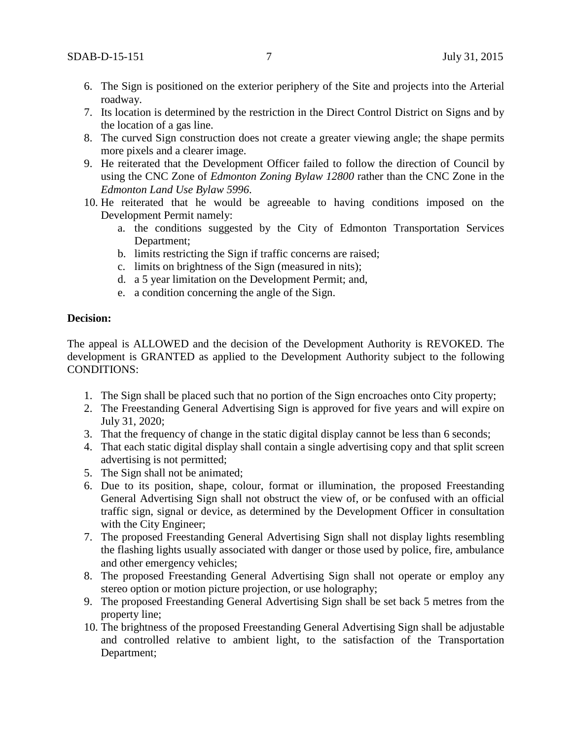- 6. The Sign is positioned on the exterior periphery of the Site and projects into the Arterial roadway.
- 7. Its location is determined by the restriction in the Direct Control District on Signs and by the location of a gas line.
- 8. The curved Sign construction does not create a greater viewing angle; the shape permits more pixels and a clearer image.
- 9. He reiterated that the Development Officer failed to follow the direction of Council by using the CNC Zone of *Edmonton Zoning Bylaw 12800* rather than the CNC Zone in the *Edmonton Land Use Bylaw 5996*.
- 10. He reiterated that he would be agreeable to having conditions imposed on the Development Permit namely:
	- a. the conditions suggested by the City of Edmonton Transportation Services Department;
	- b. limits restricting the Sign if traffic concerns are raised;
	- c. limits on brightness of the Sign (measured in nits);
	- d. a 5 year limitation on the Development Permit; and,
	- e. a condition concerning the angle of the Sign.

## **Decision:**

The appeal is ALLOWED and the decision of the Development Authority is REVOKED. The development is GRANTED as applied to the Development Authority subject to the following CONDITIONS:

- 1. The Sign shall be placed such that no portion of the Sign encroaches onto City property;
- 2. The Freestanding General Advertising Sign is approved for five years and will expire on July 31, 2020;
- 3. That the frequency of change in the static digital display cannot be less than 6 seconds;
- 4. That each static digital display shall contain a single advertising copy and that split screen advertising is not permitted;
- 5. The Sign shall not be animated;
- 6. Due to its position, shape, colour, format or illumination, the proposed Freestanding General Advertising Sign shall not obstruct the view of, or be confused with an official traffic sign, signal or device, as determined by the Development Officer in consultation with the City Engineer;
- 7. The proposed Freestanding General Advertising Sign shall not display lights resembling the flashing lights usually associated with danger or those used by police, fire, ambulance and other emergency vehicles;
- 8. The proposed Freestanding General Advertising Sign shall not operate or employ any stereo option or motion picture projection, or use holography;
- 9. The proposed Freestanding General Advertising Sign shall be set back 5 metres from the property line;
- 10. The brightness of the proposed Freestanding General Advertising Sign shall be adjustable and controlled relative to ambient light, to the satisfaction of the Transportation Department;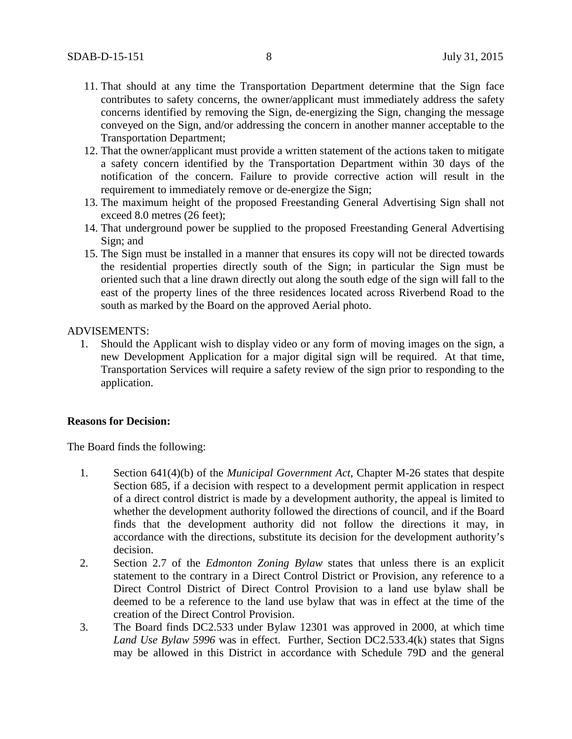- 11. That should at any time the Transportation Department determine that the Sign face contributes to safety concerns, the owner/applicant must immediately address the safety concerns identified by removing the Sign, de-energizing the Sign, changing the message conveyed on the Sign, and/or addressing the concern in another manner acceptable to the Transportation Department;
- 12. That the owner/applicant must provide a written statement of the actions taken to mitigate a safety concern identified by the Transportation Department within 30 days of the notification of the concern. Failure to provide corrective action will result in the requirement to immediately remove or de-energize the Sign;
- 13. The maximum height of the proposed Freestanding General Advertising Sign shall not exceed 8.0 metres (26 feet);
- 14. That underground power be supplied to the proposed Freestanding General Advertising Sign; and
- 15. The Sign must be installed in a manner that ensures its copy will not be directed towards the residential properties directly south of the Sign; in particular the Sign must be oriented such that a line drawn directly out along the south edge of the sign will fall to the east of the property lines of the three residences located across Riverbend Road to the south as marked by the Board on the approved Aerial photo.

### ADVISEMENTS:

1. Should the Applicant wish to display video or any form of moving images on the sign, a new Development Application for a major digital sign will be required. At that time, Transportation Services will require a safety review of the sign prior to responding to the application.

#### **Reasons for Decision:**

The Board finds the following:

- 1. Section 641(4)(b) of the *Municipal Government Act*, Chapter M-26 states that despite Section 685, if a decision with respect to a development permit application in respect of a direct control district is made by a development authority, the appeal is limited to whether the development authority followed the directions of council, and if the Board finds that the development authority did not follow the directions it may, in accordance with the directions, substitute its decision for the development authority's decision.
- 2. Section 2.7 of the *Edmonton Zoning Bylaw* states that unless there is an explicit statement to the contrary in a Direct Control District or Provision, any reference to a Direct Control District of Direct Control Provision to a land use bylaw shall be deemed to be a reference to the land use bylaw that was in effect at the time of the creation of the Direct Control Provision.
- 3. The Board finds DC2.533 under Bylaw 12301 was approved in 2000, at which time *Land Use Bylaw 5996* was in effect. Further, Section DC2.533.4(k) states that Signs may be allowed in this District in accordance with Schedule 79D and the general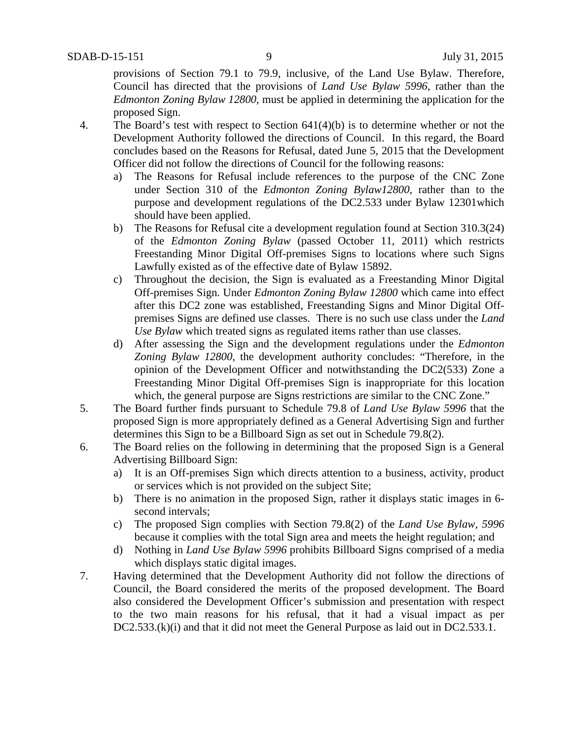provisions of Section 79.1 to 79.9, inclusive, of the Land Use Bylaw. Therefore, Council has directed that the provisions of *Land Use Bylaw 5996*, rather than the *Edmonton Zoning Bylaw 12800*, must be applied in determining the application for the proposed Sign.

- 4. The Board's test with respect to Section 641(4)(b) is to determine whether or not the Development Authority followed the directions of Council. In this regard, the Board concludes based on the Reasons for Refusal, dated June 5, 2015 that the Development Officer did not follow the directions of Council for the following reasons:
	- a) The Reasons for Refusal include references to the purpose of the CNC Zone under Section 310 of the *Edmonton Zoning Bylaw12800*, rather than to the purpose and development regulations of the DC2.533 under Bylaw 12301which should have been applied.
	- b) The Reasons for Refusal cite a development regulation found at Section 310.3(24) of the *Edmonton Zoning Bylaw* (passed October 11, 2011) which restricts Freestanding Minor Digital Off-premises Signs to locations where such Signs Lawfully existed as of the effective date of Bylaw 15892.
	- c) Throughout the decision, the Sign is evaluated as a Freestanding Minor Digital Off-premises Sign. Under *Edmonton Zoning Bylaw 12800* which came into effect after this DC2 zone was established, Freestanding Signs and Minor Digital Offpremises Signs are defined use classes. There is no such use class under the *Land Use Bylaw* which treated signs as regulated items rather than use classes.
	- d) After assessing the Sign and the development regulations under the *Edmonton Zoning Bylaw 12800*, the development authority concludes: "Therefore, in the opinion of the Development Officer and notwithstanding the DC2(533) Zone a Freestanding Minor Digital Off-premises Sign is inappropriate for this location which, the general purpose are Signs restrictions are similar to the CNC Zone."
- 5. The Board further finds pursuant to Schedule 79.8 of *Land Use Bylaw 5996* that the proposed Sign is more appropriately defined as a General Advertising Sign and further determines this Sign to be a Billboard Sign as set out in Schedule 79.8(2).
- 6. The Board relies on the following in determining that the proposed Sign is a General Advertising Billboard Sign:
	- a) It is an Off-premises Sign which directs attention to a business, activity, product or services which is not provided on the subject Site;
	- b) There is no animation in the proposed Sign, rather it displays static images in 6 second intervals;
	- c) The proposed Sign complies with Section 79.8(2) of the *Land Use Bylaw, 5996* because it complies with the total Sign area and meets the height regulation; and
	- d) Nothing in *Land Use Bylaw 5996* prohibits Billboard Signs comprised of a media which displays static digital images.
- 7. Having determined that the Development Authority did not follow the directions of Council, the Board considered the merits of the proposed development. The Board also considered the Development Officer's submission and presentation with respect to the two main reasons for his refusal, that it had a visual impact as per DC2.533.(k)(i) and that it did not meet the General Purpose as laid out in DC2.533.1.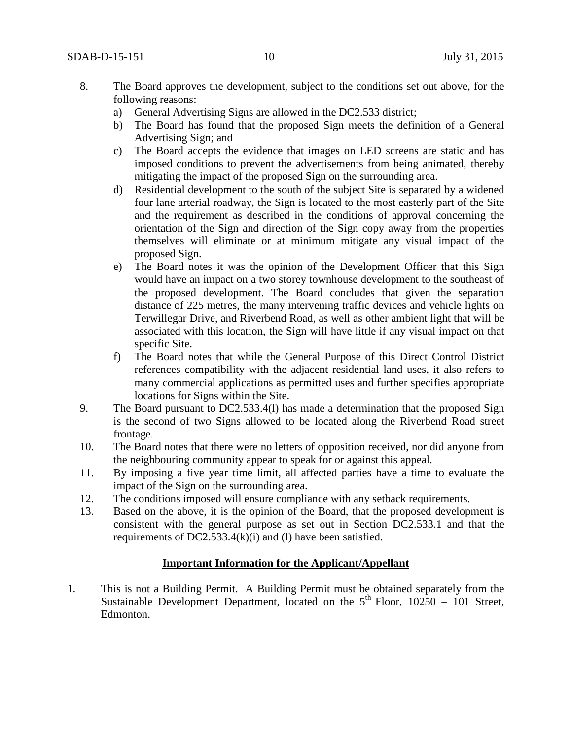- 8. The Board approves the development, subject to the conditions set out above, for the following reasons:
	- a) General Advertising Signs are allowed in the DC2.533 district;
	- b) The Board has found that the proposed Sign meets the definition of a General Advertising Sign; and
	- c) The Board accepts the evidence that images on LED screens are static and has imposed conditions to prevent the advertisements from being animated, thereby mitigating the impact of the proposed Sign on the surrounding area.
	- d) Residential development to the south of the subject Site is separated by a widened four lane arterial roadway, the Sign is located to the most easterly part of the Site and the requirement as described in the conditions of approval concerning the orientation of the Sign and direction of the Sign copy away from the properties themselves will eliminate or at minimum mitigate any visual impact of the proposed Sign.
	- e) The Board notes it was the opinion of the Development Officer that this Sign would have an impact on a two storey townhouse development to the southeast of the proposed development. The Board concludes that given the separation distance of 225 metres, the many intervening traffic devices and vehicle lights on Terwillegar Drive, and Riverbend Road, as well as other ambient light that will be associated with this location, the Sign will have little if any visual impact on that specific Site.
	- f) The Board notes that while the General Purpose of this Direct Control District references compatibility with the adjacent residential land uses, it also refers to many commercial applications as permitted uses and further specifies appropriate locations for Signs within the Site.
- 9. The Board pursuant to DC2.533.4(l) has made a determination that the proposed Sign is the second of two Signs allowed to be located along the Riverbend Road street frontage.
- 10. The Board notes that there were no letters of opposition received, nor did anyone from the neighbouring community appear to speak for or against this appeal.
- 11. By imposing a five year time limit, all affected parties have a time to evaluate the impact of the Sign on the surrounding area.
- 12. The conditions imposed will ensure compliance with any setback requirements.
- 13. Based on the above, it is the opinion of the Board, that the proposed development is consistent with the general purpose as set out in Section DC2.533.1 and that the requirements of DC2.533.4 $(k)(i)$  and  $(l)$  have been satisfied.

## **Important Information for the Applicant/Appellant**

1. This is not a Building Permit. A Building Permit must be obtained separately from the Sustainable Development Department, located on the  $5<sup>th</sup>$  Floor, 10250 – 101 Street, Edmonton.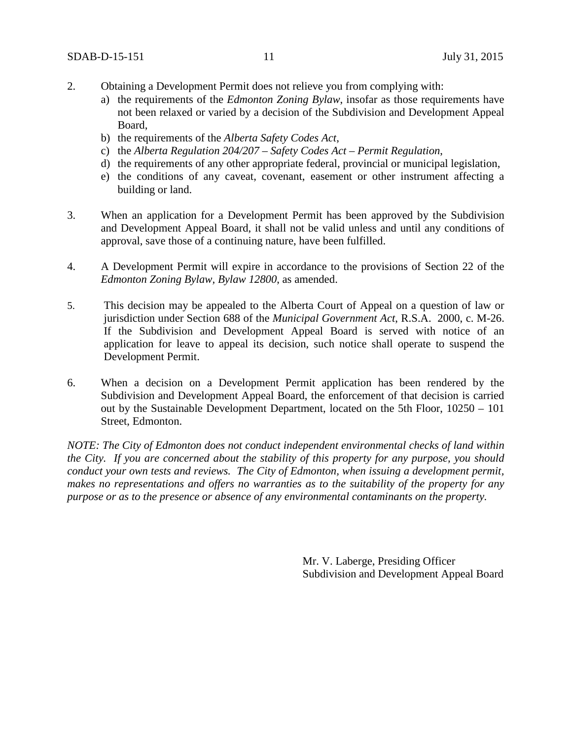- 2. Obtaining a Development Permit does not relieve you from complying with:
	- a) the requirements of the *Edmonton Zoning Bylaw*, insofar as those requirements have not been relaxed or varied by a decision of the Subdivision and Development Appeal Board,
	- b) the requirements of the *Alberta Safety Codes Act*,
	- c) the *Alberta Regulation 204/207 – Safety Codes Act – Permit Regulation*,
	- d) the requirements of any other appropriate federal, provincial or municipal legislation,
	- e) the conditions of any caveat, covenant, easement or other instrument affecting a building or land.
- 3. When an application for a Development Permit has been approved by the Subdivision and Development Appeal Board, it shall not be valid unless and until any conditions of approval, save those of a continuing nature, have been fulfilled.
- 4. A Development Permit will expire in accordance to the provisions of Section 22 of the *Edmonton Zoning Bylaw, Bylaw 12800*, as amended.
- 5. This decision may be appealed to the Alberta Court of Appeal on a question of law or jurisdiction under Section 688 of the *Municipal Government Act*, R.S.A. 2000, c. M-26. If the Subdivision and Development Appeal Board is served with notice of an application for leave to appeal its decision, such notice shall operate to suspend the Development Permit.
- 6. When a decision on a Development Permit application has been rendered by the Subdivision and Development Appeal Board, the enforcement of that decision is carried out by the Sustainable Development Department, located on the 5th Floor, 10250 – 101 Street, Edmonton.

*NOTE: The City of Edmonton does not conduct independent environmental checks of land within the City. If you are concerned about the stability of this property for any purpose, you should conduct your own tests and reviews. The City of Edmonton, when issuing a development permit, makes no representations and offers no warranties as to the suitability of the property for any purpose or as to the presence or absence of any environmental contaminants on the property.*

> Mr. V. Laberge, Presiding Officer Subdivision and Development Appeal Board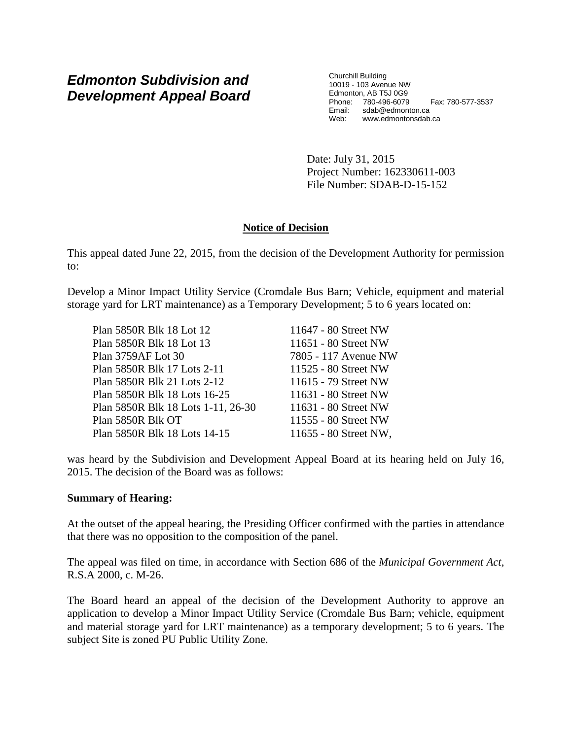# *Edmonton Subdivision and Development Appeal Board*

Churchill Building 10019 - 103 Avenue NW Edmonton, AB T5J 0G9 Phone: 780-496-6079 Fax: 780-577-3537 Email: sdab@edmonton.ca Web: www.edmontonsdab.ca

Date: July 31, 2015 Project Number: 162330611-003 File Number: SDAB-D-15-152

# **Notice of Decision**

This appeal dated June 22, 2015, from the decision of the Development Authority for permission to:

Develop a Minor Impact Utility Service (Cromdale Bus Barn; Vehicle, equipment and material storage yard for LRT maintenance) as a Temporary Development; 5 to 6 years located on:

| Plan 5850R Blk 18 Lot 12           | 11647 - 80 Street NW  |
|------------------------------------|-----------------------|
| Plan 5850R Blk 18 Lot 13           | 11651 - 80 Street NW  |
| Plan 3759AF Lot 30                 | 7805 - 117 Avenue NW  |
| Plan 5850R Blk 17 Lots 2-11        | 11525 - 80 Street NW  |
| Plan 5850R Blk 21 Lots 2-12        | 11615 - 79 Street NW  |
| Plan 5850R Blk 18 Lots 16-25       | 11631 - 80 Street NW  |
| Plan 5850R Blk 18 Lots 1-11, 26-30 | 11631 - 80 Street NW  |
| Plan 5850R Blk OT                  | 11555 - 80 Street NW  |
| Plan 5850R Blk 18 Lots 14-15       | 11655 - 80 Street NW, |

was heard by the Subdivision and Development Appeal Board at its hearing held on July 16, 2015. The decision of the Board was as follows:

## **Summary of Hearing:**

At the outset of the appeal hearing, the Presiding Officer confirmed with the parties in attendance that there was no opposition to the composition of the panel.

The appeal was filed on time, in accordance with Section 686 of the *Municipal Government Act*, R.S.A 2000, c. M-26.

The Board heard an appeal of the decision of the Development Authority to approve an application to develop a Minor Impact Utility Service (Cromdale Bus Barn; vehicle, equipment and material storage yard for LRT maintenance) as a temporary development; 5 to 6 years. The subject Site is zoned PU Public Utility Zone.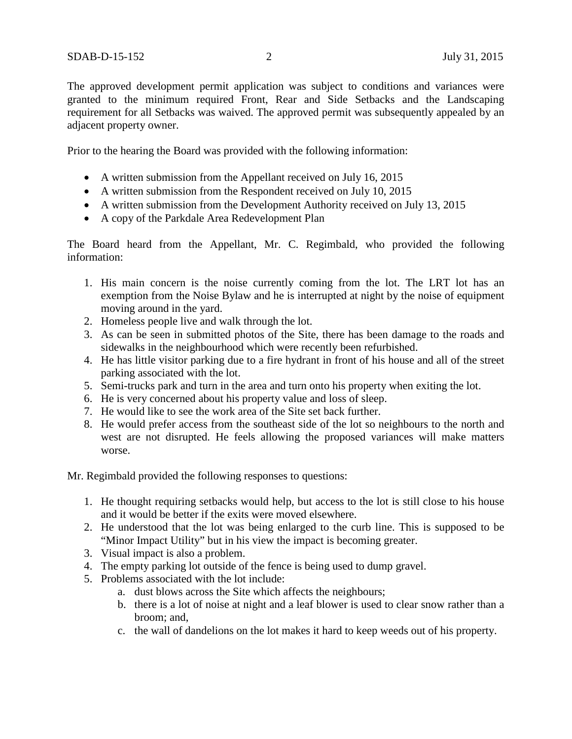The approved development permit application was subject to conditions and variances were granted to the minimum required Front, Rear and Side Setbacks and the Landscaping requirement for all Setbacks was waived. The approved permit was subsequently appealed by an adjacent property owner.

Prior to the hearing the Board was provided with the following information:

- A written submission from the Appellant received on July 16, 2015
- A written submission from the Respondent received on July 10, 2015
- A written submission from the Development Authority received on July 13, 2015
- A copy of the Parkdale Area Redevelopment Plan

The Board heard from the Appellant, Mr. C. Regimbald, who provided the following information:

- 1. His main concern is the noise currently coming from the lot. The LRT lot has an exemption from the Noise Bylaw and he is interrupted at night by the noise of equipment moving around in the yard.
- 2. Homeless people live and walk through the lot.
- 3. As can be seen in submitted photos of the Site, there has been damage to the roads and sidewalks in the neighbourhood which were recently been refurbished.
- 4. He has little visitor parking due to a fire hydrant in front of his house and all of the street parking associated with the lot.
- 5. Semi-trucks park and turn in the area and turn onto his property when exiting the lot.
- 6. He is very concerned about his property value and loss of sleep.
- 7. He would like to see the work area of the Site set back further.
- 8. He would prefer access from the southeast side of the lot so neighbours to the north and west are not disrupted. He feels allowing the proposed variances will make matters worse.

Mr. Regimbald provided the following responses to questions:

- 1. He thought requiring setbacks would help, but access to the lot is still close to his house and it would be better if the exits were moved elsewhere.
- 2. He understood that the lot was being enlarged to the curb line. This is supposed to be "Minor Impact Utility" but in his view the impact is becoming greater.
- 3. Visual impact is also a problem.
- 4. The empty parking lot outside of the fence is being used to dump gravel.
- 5. Problems associated with the lot include:
	- a. dust blows across the Site which affects the neighbours;
	- b. there is a lot of noise at night and a leaf blower is used to clear snow rather than a broom; and,
	- c. the wall of dandelions on the lot makes it hard to keep weeds out of his property.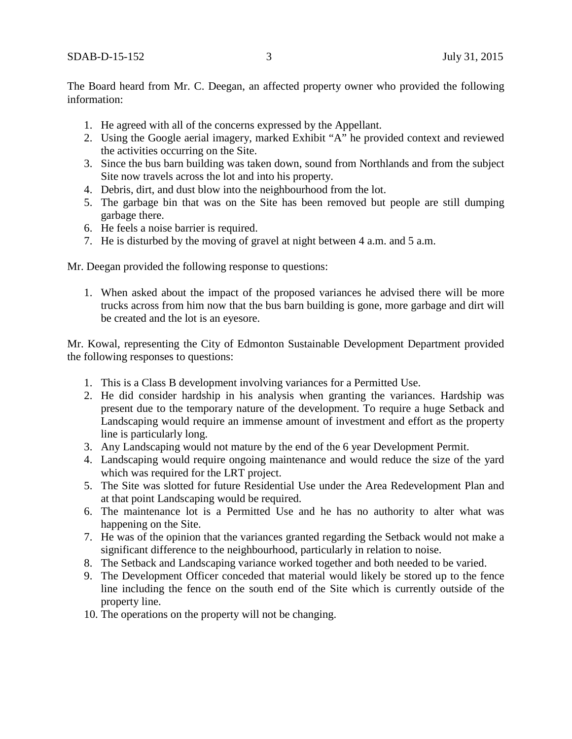The Board heard from Mr. C. Deegan, an affected property owner who provided the following information:

- 1. He agreed with all of the concerns expressed by the Appellant.
- 2. Using the Google aerial imagery, marked Exhibit "A" he provided context and reviewed the activities occurring on the Site.
- 3. Since the bus barn building was taken down, sound from Northlands and from the subject Site now travels across the lot and into his property.
- 4. Debris, dirt, and dust blow into the neighbourhood from the lot.
- 5. The garbage bin that was on the Site has been removed but people are still dumping garbage there.
- 6. He feels a noise barrier is required.
- 7. He is disturbed by the moving of gravel at night between 4 a.m. and 5 a.m.

Mr. Deegan provided the following response to questions:

1. When asked about the impact of the proposed variances he advised there will be more trucks across from him now that the bus barn building is gone, more garbage and dirt will be created and the lot is an eyesore.

Mr. Kowal, representing the City of Edmonton Sustainable Development Department provided the following responses to questions:

- 1. This is a Class B development involving variances for a Permitted Use.
- 2. He did consider hardship in his analysis when granting the variances. Hardship was present due to the temporary nature of the development. To require a huge Setback and Landscaping would require an immense amount of investment and effort as the property line is particularly long.
- 3. Any Landscaping would not mature by the end of the 6 year Development Permit.
- 4. Landscaping would require ongoing maintenance and would reduce the size of the yard which was required for the LRT project.
- 5. The Site was slotted for future Residential Use under the Area Redevelopment Plan and at that point Landscaping would be required.
- 6. The maintenance lot is a Permitted Use and he has no authority to alter what was happening on the Site.
- 7. He was of the opinion that the variances granted regarding the Setback would not make a significant difference to the neighbourhood, particularly in relation to noise.
- 8. The Setback and Landscaping variance worked together and both needed to be varied.
- 9. The Development Officer conceded that material would likely be stored up to the fence line including the fence on the south end of the Site which is currently outside of the property line.
- 10. The operations on the property will not be changing.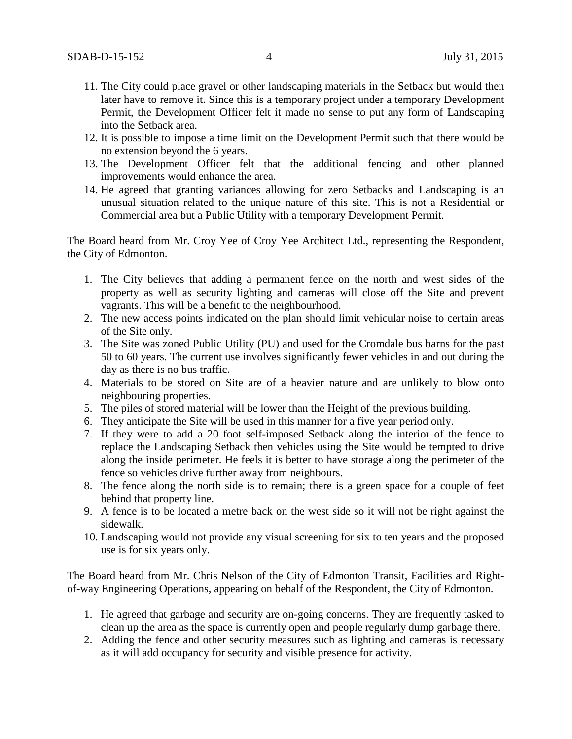- 11. The City could place gravel or other landscaping materials in the Setback but would then later have to remove it. Since this is a temporary project under a temporary Development Permit, the Development Officer felt it made no sense to put any form of Landscaping into the Setback area.
- 12. It is possible to impose a time limit on the Development Permit such that there would be no extension beyond the 6 years.
- 13. The Development Officer felt that the additional fencing and other planned improvements would enhance the area.
- 14. He agreed that granting variances allowing for zero Setbacks and Landscaping is an unusual situation related to the unique nature of this site. This is not a Residential or Commercial area but a Public Utility with a temporary Development Permit.

The Board heard from Mr. Croy Yee of Croy Yee Architect Ltd., representing the Respondent, the City of Edmonton.

- 1. The City believes that adding a permanent fence on the north and west sides of the property as well as security lighting and cameras will close off the Site and prevent vagrants. This will be a benefit to the neighbourhood.
- 2. The new access points indicated on the plan should limit vehicular noise to certain areas of the Site only.
- 3. The Site was zoned Public Utility (PU) and used for the Cromdale bus barns for the past 50 to 60 years. The current use involves significantly fewer vehicles in and out during the day as there is no bus traffic.
- 4. Materials to be stored on Site are of a heavier nature and are unlikely to blow onto neighbouring properties.
- 5. The piles of stored material will be lower than the Height of the previous building.
- 6. They anticipate the Site will be used in this manner for a five year period only.
- 7. If they were to add a 20 foot self-imposed Setback along the interior of the fence to replace the Landscaping Setback then vehicles using the Site would be tempted to drive along the inside perimeter. He feels it is better to have storage along the perimeter of the fence so vehicles drive further away from neighbours.
- 8. The fence along the north side is to remain; there is a green space for a couple of feet behind that property line.
- 9. A fence is to be located a metre back on the west side so it will not be right against the sidewalk.
- 10. Landscaping would not provide any visual screening for six to ten years and the proposed use is for six years only.

The Board heard from Mr. Chris Nelson of the City of Edmonton Transit, Facilities and Rightof-way Engineering Operations, appearing on behalf of the Respondent, the City of Edmonton.

- 1. He agreed that garbage and security are on-going concerns. They are frequently tasked to clean up the area as the space is currently open and people regularly dump garbage there.
- 2. Adding the fence and other security measures such as lighting and cameras is necessary as it will add occupancy for security and visible presence for activity.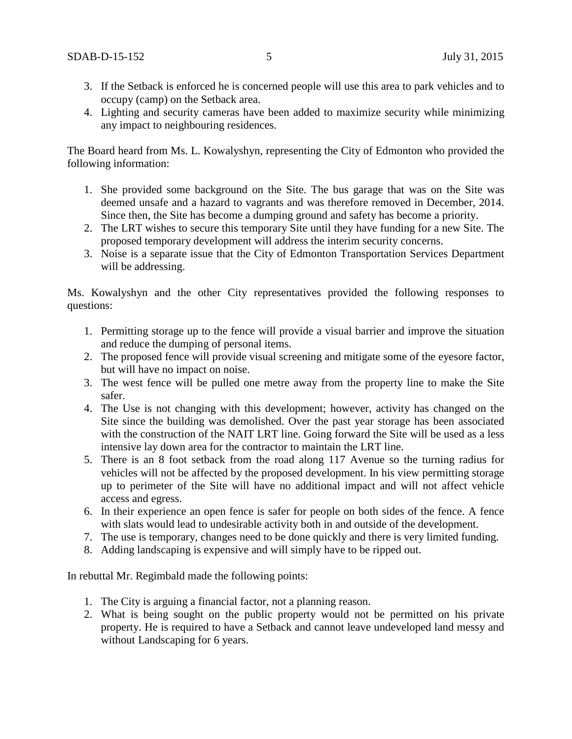- 3. If the Setback is enforced he is concerned people will use this area to park vehicles and to occupy (camp) on the Setback area.
- 4. Lighting and security cameras have been added to maximize security while minimizing any impact to neighbouring residences.

The Board heard from Ms. L. Kowalyshyn, representing the City of Edmonton who provided the following information:

- 1. She provided some background on the Site. The bus garage that was on the Site was deemed unsafe and a hazard to vagrants and was therefore removed in December, 2014. Since then, the Site has become a dumping ground and safety has become a priority.
- 2. The LRT wishes to secure this temporary Site until they have funding for a new Site. The proposed temporary development will address the interim security concerns.
- 3. Noise is a separate issue that the City of Edmonton Transportation Services Department will be addressing.

Ms. Kowalyshyn and the other City representatives provided the following responses to questions:

- 1. Permitting storage up to the fence will provide a visual barrier and improve the situation and reduce the dumping of personal items.
- 2. The proposed fence will provide visual screening and mitigate some of the eyesore factor, but will have no impact on noise.
- 3. The west fence will be pulled one metre away from the property line to make the Site safer.
- 4. The Use is not changing with this development; however, activity has changed on the Site since the building was demolished. Over the past year storage has been associated with the construction of the NAIT LRT line. Going forward the Site will be used as a less intensive lay down area for the contractor to maintain the LRT line.
- 5. There is an 8 foot setback from the road along 117 Avenue so the turning radius for vehicles will not be affected by the proposed development. In his view permitting storage up to perimeter of the Site will have no additional impact and will not affect vehicle access and egress.
- 6. In their experience an open fence is safer for people on both sides of the fence. A fence with slats would lead to undesirable activity both in and outside of the development.
- 7. The use is temporary, changes need to be done quickly and there is very limited funding.
- 8. Adding landscaping is expensive and will simply have to be ripped out.

In rebuttal Mr. Regimbald made the following points:

- 1. The City is arguing a financial factor, not a planning reason.
- 2. What is being sought on the public property would not be permitted on his private property. He is required to have a Setback and cannot leave undeveloped land messy and without Landscaping for 6 years.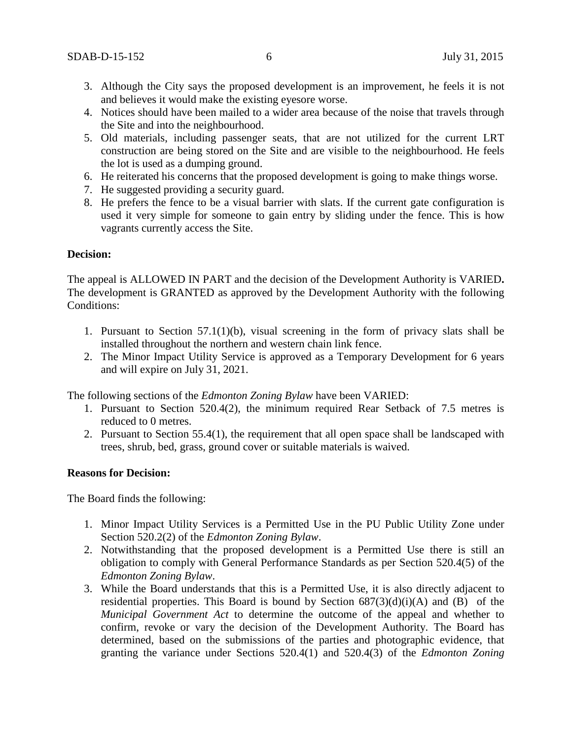- 3. Although the City says the proposed development is an improvement, he feels it is not and believes it would make the existing eyesore worse.
- 4. Notices should have been mailed to a wider area because of the noise that travels through the Site and into the neighbourhood.
- 5. Old materials, including passenger seats, that are not utilized for the current LRT construction are being stored on the Site and are visible to the neighbourhood. He feels the lot is used as a dumping ground.
- 6. He reiterated his concerns that the proposed development is going to make things worse.
- 7. He suggested providing a security guard.
- 8. He prefers the fence to be a visual barrier with slats. If the current gate configuration is used it very simple for someone to gain entry by sliding under the fence. This is how vagrants currently access the Site.

### **Decision:**

The appeal is ALLOWED IN PART and the decision of the Development Authority is VARIED**.** The development is GRANTED as approved by the Development Authority with the following Conditions:

- 1. Pursuant to Section 57.1(1)(b), visual screening in the form of privacy slats shall be installed throughout the northern and western chain link fence.
- 2. The Minor Impact Utility Service is approved as a Temporary Development for 6 years and will expire on July 31, 2021.

The following sections of the *Edmonton Zoning Bylaw* have been VARIED:

- 1. Pursuant to Section 520.4(2), the minimum required Rear Setback of 7.5 metres is reduced to 0 metres.
- 2. Pursuant to Section 55.4(1), the requirement that all open space shall be landscaped with trees, shrub, bed, grass, ground cover or suitable materials is waived.

#### **Reasons for Decision:**

The Board finds the following:

- 1. Minor Impact Utility Services is a Permitted Use in the PU Public Utility Zone under Section 520.2(2) of the *Edmonton Zoning Bylaw*.
- 2. Notwithstanding that the proposed development is a Permitted Use there is still an obligation to comply with General Performance Standards as per Section 520.4(5) of the *Edmonton Zoning Bylaw*.
- 3. While the Board understands that this is a Permitted Use, it is also directly adjacent to residential properties. This Board is bound by Section  $687(3)(d)(i)(A)$  and (B) of the *Municipal Government Act* to determine the outcome of the appeal and whether to confirm, revoke or vary the decision of the Development Authority. The Board has determined, based on the submissions of the parties and photographic evidence, that granting the variance under Sections 520.4(1) and 520.4(3) of the *Edmonton Zoning*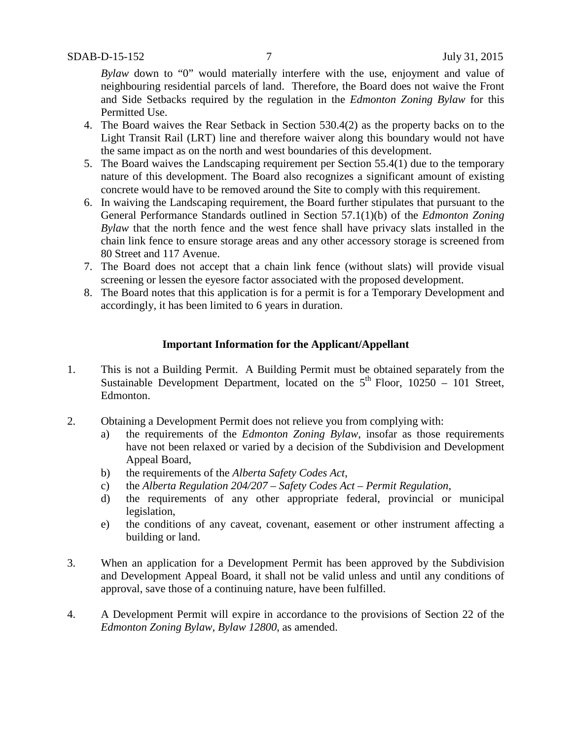*Bylaw* down to "0" would materially interfere with the use, enjoyment and value of neighbouring residential parcels of land. Therefore, the Board does not waive the Front and Side Setbacks required by the regulation in the *Edmonton Zoning Bylaw* for this Permitted Use.

- 4. The Board waives the Rear Setback in Section 530.4(2) as the property backs on to the Light Transit Rail (LRT) line and therefore waiver along this boundary would not have the same impact as on the north and west boundaries of this development.
- 5. The Board waives the Landscaping requirement per Section 55.4(1) due to the temporary nature of this development. The Board also recognizes a significant amount of existing concrete would have to be removed around the Site to comply with this requirement.
- 6. In waiving the Landscaping requirement, the Board further stipulates that pursuant to the General Performance Standards outlined in Section 57.1(1)(b) of the *Edmonton Zoning Bylaw* that the north fence and the west fence shall have privacy slats installed in the chain link fence to ensure storage areas and any other accessory storage is screened from 80 Street and 117 Avenue.
- 7. The Board does not accept that a chain link fence (without slats) will provide visual screening or lessen the eyesore factor associated with the proposed development.
- 8. The Board notes that this application is for a permit is for a Temporary Development and accordingly, it has been limited to 6 years in duration.

### **Important Information for the Applicant/Appellant**

- 1. This is not a Building Permit. A Building Permit must be obtained separately from the Sustainable Development Department, located on the  $5<sup>th</sup>$  Floor, 10250 – 101 Street, Edmonton.
- 2. Obtaining a Development Permit does not relieve you from complying with:
	- a) the requirements of the *Edmonton Zoning Bylaw*, insofar as those requirements have not been relaxed or varied by a decision of the Subdivision and Development Appeal Board,
	- b) the requirements of the *Alberta Safety Codes Act*,
	- c) the *Alberta Regulation 204/207 – Safety Codes Act – Permit Regulation*,
	- d) the requirements of any other appropriate federal, provincial or municipal legislation,
	- e) the conditions of any caveat, covenant, easement or other instrument affecting a building or land.
- 3. When an application for a Development Permit has been approved by the Subdivision and Development Appeal Board, it shall not be valid unless and until any conditions of approval, save those of a continuing nature, have been fulfilled.
- 4. A Development Permit will expire in accordance to the provisions of Section 22 of the *Edmonton Zoning Bylaw, Bylaw 12800*, as amended.